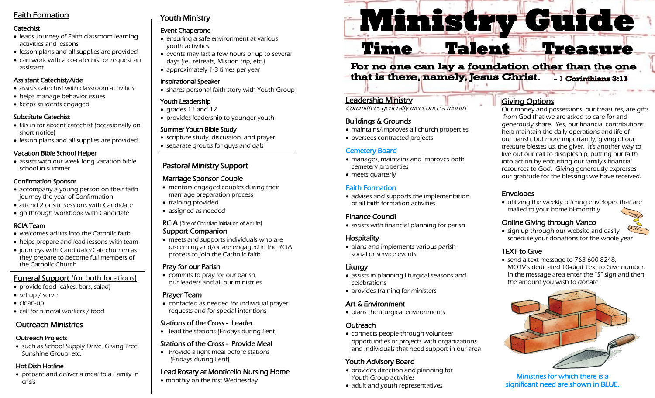# Faith Formation

#### Catechist

- leads Journey of Faith classroom learning activities and lessons
- lesson plans and all supplies are provided
- can work with a co-catechist or request an assistant

#### Assistant Catechist/Aide

- assists catechist with classroom activities
- helps manage behavior issues
- keeps students engaged

#### Substitute Catechist

- fills in for absent catechist (occasionally on short notice)
- lesson plans and all supplies are provided

#### Vacation Bible School Helper

• assists with our week long vacation bible school in summer

#### Confirmation Sponsor

- accompany a young person on their faith journey the year of Confirmation
- attend 2 onsite sessions with Candidate
- go through workbook with Candidate

#### RCIA Team

- welcomes adults into the Catholic faith
- helps prepare and lead lessons with team
- journeys with Candidate/Catechumen as they prepare to become full members of the Catholic Church

# Funeral Support (for both locations)

- provide food (cakes, bars, salad)
- set up / serve
- clean-up
- call for funeral workers / food

# Outreach Ministries

#### Outreach Projects

• such as School Supply Drive, Giving Tree, Sunshine Group, etc.

### Hot Dish Hotline

• prepare and deliver a meal to a Family in crisis

# **Youth Ministry**

#### Event Chaperone

- ensuring a safe environment at various youth activities
- events may last a few hours or up to several days (ie., retreats, Mission trip, etc.)
- approximately 1-3 times per year

#### Inspirational Speaker

• shares personal faith story with Youth Group

#### Youth Leadership

- grades 11 and 12
- provides leadership to younger youth

#### Summer Youth Bible Study

- scripture study, discussion, and prayer
- separate groups for guys and gals

# Pastoral Ministry Support

# Marriage Sponsor Couple

- mentors engaged couples during their marriage preparation process
- training provided
- assigned as needed

### RCIA (Rite of Christian Initiation of Adults)

#### Support Companion

• meets and supports individuals who are discerning and/or are engaged in the RCIA process to join the Catholic faith

### Pray for our Parish

• commits to pray for our parish, our leaders and all our ministries

#### Prayer Team

• contacted as needed for individual prayer requests and for special intentions

# Stations of the Cross - Leader

• lead the stations (Fridays during Lent)

### Stations of the Cross - Provide Meal

• Provide a light meal before stations (Fridays during Lent)

#### Lead Rosary at Monticello Nursing Home

• monthly on the first Wednesday

# **Ministry Guide**

# **Time Talent Treasure**

#### For no one can lay a foundation other than the one that is there, namely, Jesus Christ. - 1 Corinthians 3:11

# Leadership Ministry

Committees generally meet once a month

# Buildings & Grounds

- maintains/improves all church properties
- oversees contracted projects

# Cemetery Board

- manages, maintains and improves both cemetery properties
- meets quarterly

# Faith Formation

• advises and supports the implementation of all faith formation activities

# Finance Council

• assists with financial planning for parish

# **Hospitality**

• plans and implements various parish social or service events

# Liturgy

- assists in planning liturgical seasons and celebrations
- provides training for ministers

# Art & Environment

• plans the liturgical environments

# **Outreach**

• connects people through volunteer opportunities or projects with organizations and individuals that need support in our area

# Youth Advisory Board

- provides direction and planning for Youth Group activities
- adult and youth representatives

# Giving Options

Our money and possessions, our treasures, are gifts from God that we are asked to care for and generously share. Yes, our financial contributions help maintain the daily operations and life of our parish, but more importantly, giving of our treasure blesses us, the giver. It's another way to live out our call to discipleship, putting our faith into action by entrusting our family's financial resources to God. Giving generously expresses our gratitude for the blessings we have received.

# Envelopes

• utilizing the weekly offering envelopes that are mailed to your home bi-monthly

# Online Giving through Vanco

• sign up through our website and easily schedule your donations for the whole year

# TEXT to Give

• send a text message to 763-600-8248, MOTV's dedicated 10-digit Text to Give number. In the message area enter the "\$" sign and then the amount you wish to donate



Ministries for which there is a significant need are shown in BLUE.